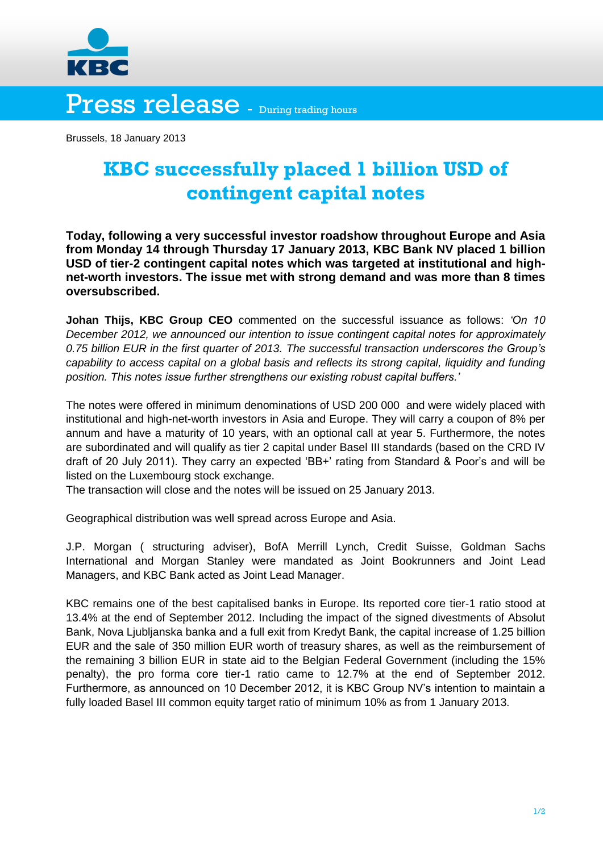

Press release - During trading hours

Brussels, 18 January 2013

## **KBC successfully placed 1 billion USD of contingent capital notes**

**Today, following a very successful investor roadshow throughout Europe and Asia from Monday 14 through Thursday 17 January 2013, KBC Bank NV placed 1 billion USD of tier-2 contingent capital notes which was targeted at institutional and highnet-worth investors. The issue met with strong demand and was more than 8 times oversubscribed.** 

**Johan Thijs, KBC Group CEO** commented on the successful issuance as follows: *'On 10 December 2012, we announced our intention to issue contingent capital notes for approximately 0.75 billion EUR in the first quarter of 2013. The successful transaction underscores the Group's capability to access capital on a global basis and reflects its strong capital, liquidity and funding position. This notes issue further strengthens our existing robust capital buffers.'*

The notes were offered in minimum denominations of USD 200 000 and were widely placed with institutional and high-net-worth investors in Asia and Europe. They will carry a coupon of 8% per annum and have a maturity of 10 years, with an optional call at year 5. Furthermore, the notes are subordinated and will qualify as tier 2 capital under Basel III standards (based on the CRD IV draft of 20 July 2011). They carry an expected 'BB+' rating from Standard & Poor's and will be listed on the Luxembourg stock exchange.

The transaction will close and the notes will be issued on 25 January 2013.

Geographical distribution was well spread across Europe and Asia.

J.P. Morgan ( structuring adviser), BofA Merrill Lynch, Credit Suisse, Goldman Sachs International and Morgan Stanley were mandated as Joint Bookrunners and Joint Lead Managers, and KBC Bank acted as Joint Lead Manager.

KBC remains one of the best capitalised banks in Europe. Its reported core tier-1 ratio stood at 13.4% at the end of September 2012. Including the impact of the signed divestments of Absolut Bank, Nova Ljubljanska banka and a full exit from Kredyt Bank, the capital increase of 1.25 billion EUR and the sale of 350 million EUR worth of treasury shares, as well as the reimbursement of the remaining 3 billion EUR in state aid to the Belgian Federal Government (including the 15% penalty), the pro forma core tier-1 ratio came to 12.7% at the end of September 2012. Furthermore, as announced on 10 December 2012, it is KBC Group NV's intention to maintain a fully loaded Basel III common equity target ratio of minimum 10% as from 1 January 2013.